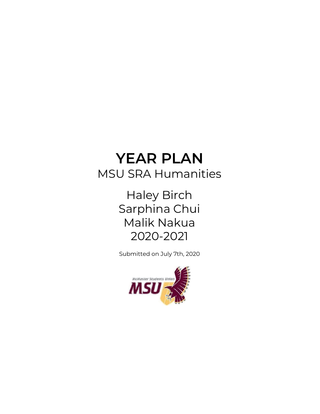# **YEAR PLAN** MSU SRA Humanities

Haley Birch Sarphina Chui Malik Nakua 2020-2021

Submitted on July 7th, 2020

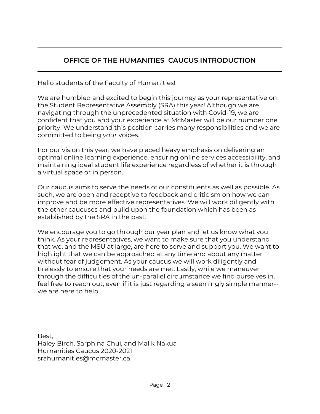## **OFFICE OF THE HUMANITIES CAUCUS INTRODUCTION**

Hello students of the Faculty of Humanities!

We are humbled and excited to begin this journey as your representative on the Student Representative Assembly (SRA) this year! Although we are navigating through the unprecedented situation with Covid-19, we are confident that you and your experience at McMaster will be our number one priority! We understand this position carries many responsibilities and we are committed to being *your* voices.

For our vision this year, we have placed heavy emphasis on delivering an optimal online learning experience, ensuring online services accessibility, and maintaining ideal student life experience regardless of whether it is through a virtual space or in person.

Our caucus aims to serve the needs of our constituents as well as possible. As such, we are open and receptive to feedback and criticism on how we can improve and be more effective representatives. We will work diligently with the other caucuses and build upon the foundation which has been as established by the SRA in the past.

We encourage you to go through our year plan and let us know what you think. As your representatives, we want to make sure that you understand that we, and the MSU at large, are here to serve and support you. We want to highlight that we can be approached at any time and about any matter without fear of judgement. As your caucus we will work diligently and tirelessly to ensure that your needs are met. Lastly, while we maneuver through the difficulties of the un-parallel circumstance we find ourselves in, feel free to reach out, even if it is just regarding a seemingly simple manner- we are here to help.

Best, Haley Birch, Sarphina Chui, and Malik Nakua Humanities Caucus 2020-2021 srahumanities@mcmaster.ca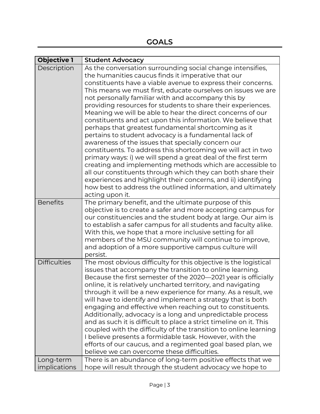| <b>Objective 1</b>        | <b>Student Advocacy</b>                                                                                                                                                                                                                                                                                                                                                                                                                                                                                                                                                                                                                                                                                                                                                                                                                                                                                                                                                                                                                                                                     |
|---------------------------|---------------------------------------------------------------------------------------------------------------------------------------------------------------------------------------------------------------------------------------------------------------------------------------------------------------------------------------------------------------------------------------------------------------------------------------------------------------------------------------------------------------------------------------------------------------------------------------------------------------------------------------------------------------------------------------------------------------------------------------------------------------------------------------------------------------------------------------------------------------------------------------------------------------------------------------------------------------------------------------------------------------------------------------------------------------------------------------------|
| Description               | As the conversation surrounding social change intensifies,<br>the humanities caucus finds it imperative that our<br>constituents have a viable avenue to express their concerns.<br>This means we must first, educate ourselves on issues we are<br>not personally familiar with and accompany this by<br>providing resources for students to share their experiences.<br>Meaning we will be able to hear the direct concerns of our<br>constituents and act upon this information. We believe that<br>perhaps that greatest fundamental shortcoming as it<br>pertains to student advocacy is a fundamental lack of<br>awareness of the issues that specially concern our<br>constituents. To address this shortcoming we will act in two<br>primary ways: i) we will spend a great deal of the first term<br>creating and implementing methods which are accessible to<br>all our constituents through which they can both share their<br>experiences and highlight their concerns, and ii) identifying<br>how best to address the outlined information, and ultimately<br>acting upon it. |
| <b>Benefits</b>           | The primary benefit, and the ultimate purpose of this<br>objective is to create a safer and more accepting campus for<br>our constituencies and the student body at large. Our aim is<br>to establish a safer campus for all students and faculty alike.<br>With this, we hope that a more inclusive setting for all<br>members of the MSU community will continue to improve,<br>and adoption of a more supportive campus culture will<br>persist.                                                                                                                                                                                                                                                                                                                                                                                                                                                                                                                                                                                                                                         |
| <b>Difficulties</b>       | The most obvious difficulty for this objective is the logistical<br>issues that accompany the transition to online learning.<br>Because the first semester of the 2020-2021 year is officially<br>online, it is relatively uncharted territory, and navigating<br>through it will be a new experience for many. As a result, we<br>will have to identify and implement a strategy that is both<br>engaging and effective when reaching out to constituents.<br>Additionally, advocacy is a long and unpredictable process<br>and as such it is difficult to place a strict timeline on it. This<br>coupled with the difficulty of the transition to online learning<br>I believe presents a formidable task. However, with the<br>efforts of our caucus, and a regimented goal based plan, we<br>believe we can overcome these difficulties.                                                                                                                                                                                                                                                |
| Long-term<br>implications | There is an abundance of long-term positive effects that we<br>hope will result through the student advocacy we hope to                                                                                                                                                                                                                                                                                                                                                                                                                                                                                                                                                                                                                                                                                                                                                                                                                                                                                                                                                                     |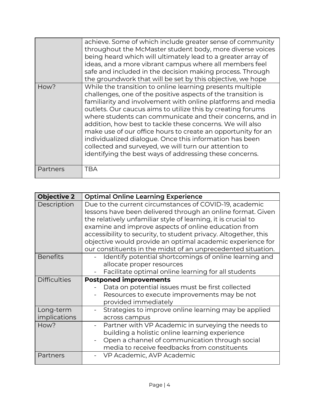|          | achieve. Some of which include greater sense of community<br>throughout the McMaster student body, more diverse voices<br>being heard which will ultimately lead to a greater array of<br>ideas, and a more vibrant campus where all members feel<br>safe and included in the decision making process. Through<br>the groundwork that will be set by this objective, we hope                                                                                                                                                                                                                                                     |
|----------|----------------------------------------------------------------------------------------------------------------------------------------------------------------------------------------------------------------------------------------------------------------------------------------------------------------------------------------------------------------------------------------------------------------------------------------------------------------------------------------------------------------------------------------------------------------------------------------------------------------------------------|
| How?     | While the transition to online learning presents multiple<br>challenges, one of the positive aspects of the transition is<br>familiarity and involvement with online platforms and media<br>outlets. Our caucus aims to utilize this by creating forums<br>where students can communicate and their concerns, and in<br>addition, how best to tackle these concerns. We will also<br>make use of our office hours to create an opportunity for an<br>individualized dialogue. Once this information has been<br>collected and surveyed, we will turn our attention to<br>identifying the best ways of addressing these concerns. |
| Partners | TBA                                                                                                                                                                                                                                                                                                                                                                                                                                                                                                                                                                                                                              |

| <b>Objective 2</b>        | <b>Optimal Online Learning Experience</b>                                                                                                                                                                                                                                                                                                                                                                                                       |
|---------------------------|-------------------------------------------------------------------------------------------------------------------------------------------------------------------------------------------------------------------------------------------------------------------------------------------------------------------------------------------------------------------------------------------------------------------------------------------------|
| Description               | Due to the current circumstances of COVID-19, academic<br>lessons have been delivered through an online format. Given<br>the relatively unfamiliar style of learning, it is crucial to<br>examine and improve aspects of online education from<br>accessibility to security, to student privacy. Altogether, this<br>objective would provide an optimal academic experience for<br>our constituents in the midst of an unprecedented situation. |
| <b>Benefits</b>           | Identify potential shortcomings of online learning and<br>allocate proper resources<br>Facilitate optimal online learning for all students                                                                                                                                                                                                                                                                                                      |
| <b>Difficulties</b>       | <b>Postponed improvements</b><br>Data on potential issues must be first collected<br>Resources to execute improvements may be not<br>provided immediately                                                                                                                                                                                                                                                                                       |
| Long-term<br>implications | Strategies to improve online learning may be applied<br>across campus                                                                                                                                                                                                                                                                                                                                                                           |
| How?                      | Partner with VP Academic in surveying the needs to<br>building a holistic online learning experience<br>Open a channel of communication through social<br>media to receive feedbacks from constituents                                                                                                                                                                                                                                          |
| Partners                  | VP Academic, AVP Academic                                                                                                                                                                                                                                                                                                                                                                                                                       |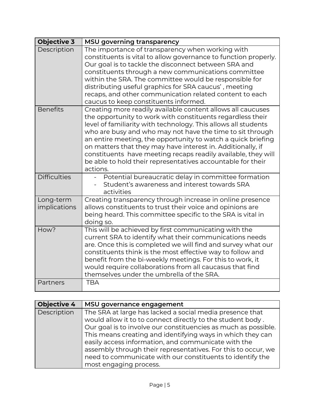| <b>Objective 3</b>        | <b>MSU governing transparency</b>                                                                                                                                                                                                                                                                                                                                                                                                                                                                                                   |
|---------------------------|-------------------------------------------------------------------------------------------------------------------------------------------------------------------------------------------------------------------------------------------------------------------------------------------------------------------------------------------------------------------------------------------------------------------------------------------------------------------------------------------------------------------------------------|
| Description               | The importance of transparency when working with<br>constituents is vital to allow governance to function properly.<br>Our goal is to tackle the disconnect between SRA and<br>constituents through a new communications committee<br>within the SRA. The committee would be responsible for<br>distributing useful graphics for SRA caucus', meeting<br>recaps, and other communication related content to each<br>caucus to keep constituents informed.                                                                           |
| Benefits                  | Creating more readily available content allows all caucuses<br>the opportunity to work with constituents regardless their<br>level of familiarity with technology. This allows all students<br>who are busy and who may not have the time to sit through<br>an entire meeting, the opportunity to watch a quick briefing<br>on matters that they may have interest in. Additionally, if<br>constituents have meeting recaps readily available, they will<br>be able to hold their representatives accountable for their<br>actions. |
| <b>Difficulties</b>       | Potential bureaucratic delay in committee formation<br>Student's awareness and interest towards SRA<br>activities                                                                                                                                                                                                                                                                                                                                                                                                                   |
| Long-term<br>implications | Creating transparency through increase in online presence<br>allows constituents to trust their voice and opinions are<br>being heard. This committee specific to the SRA is vital in<br>doing so.                                                                                                                                                                                                                                                                                                                                  |
| How?                      | This will be achieved by first communicating with the<br>current SRA to identify what their communications needs<br>are. Once this is completed we will find and survey what our<br>constituents think is the most effective way to follow and<br>benefit from the bi-weekly meetings. For this to work, it<br>would require collaborations from all caucasus that find<br>themselves under the umbrella of the SRA.                                                                                                                |
| Partners                  | <b>TBA</b>                                                                                                                                                                                                                                                                                                                                                                                                                                                                                                                          |

| <b>Objective 4</b> | MSU governance engagement                                      |
|--------------------|----------------------------------------------------------------|
| Description        | The SRA at large has lacked a social media presence that       |
|                    | would allow it to to connect directly to the student body.     |
|                    | Our goal is to involve our constituencies as much as possible. |
|                    | This means creating and identifying ways in which they can     |
|                    | easily access information, and communicate with the            |
|                    | assembly through their representatives. For this to occur, we  |
|                    | need to communicate with our constituents to identify the      |
|                    | most engaging process.                                         |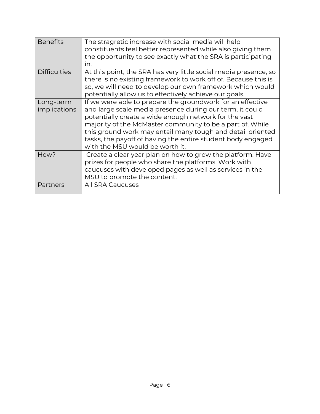| <b>Benefits</b>           | The stragretic increase with social media will help<br>constituents feel better represented while also giving them<br>the opportunity to see exactly what the SRA is participating<br>in.                                                                                                                                                                                                                    |
|---------------------------|--------------------------------------------------------------------------------------------------------------------------------------------------------------------------------------------------------------------------------------------------------------------------------------------------------------------------------------------------------------------------------------------------------------|
| <b>Difficulties</b>       | At this point, the SRA has very little social media presence, so<br>there is no existing framework to work off of. Because this is<br>so, we will need to develop our own framework which would<br>potentially allow us to effectively achieve our goals.                                                                                                                                                    |
| Long-term<br>implications | If we were able to prepare the groundwork for an effective<br>and large scale media presence during our term, it could<br>potentially create a wide enough network for the vast<br>majority of the McMaster community to be a part of. While<br>this ground work may entail many tough and detail oriented<br>tasks, the payoff of having the entire student body engaged<br>with the MSU would be worth it. |
| How?                      | Create a clear year plan on how to grow the platform. Have<br>prizes for people who share the platforms. Work with<br>caucuses with developed pages as well as services in the<br>MSU to promote the content.                                                                                                                                                                                                |
| Partners                  | All SRA Caucuses                                                                                                                                                                                                                                                                                                                                                                                             |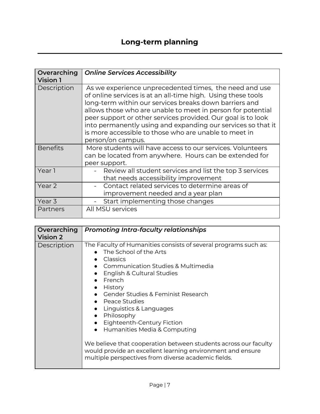| Overarching     | <b>Online Services Accessibility</b>                                                                                                                                                                                                                                                                                                                                                                                                                          |
|-----------------|---------------------------------------------------------------------------------------------------------------------------------------------------------------------------------------------------------------------------------------------------------------------------------------------------------------------------------------------------------------------------------------------------------------------------------------------------------------|
| <b>Vision 1</b> |                                                                                                                                                                                                                                                                                                                                                                                                                                                               |
| Description     | As we experience unprecedented times, the need and use<br>of online services is at an all-time high. Using these tools<br>long-term within our services breaks down barriers and<br>allows those who are unable to meet in person for potential<br>peer support or other services provided. Our goal is to look<br>into permanently using and expanding our services so that it<br>is more accessible to those who are unable to meet in<br>person/on campus. |
| <b>Benefits</b> | More students will have access to our services. Volunteers<br>can be located from anywhere. Hours can be extended for<br>peer support.                                                                                                                                                                                                                                                                                                                        |
| Year 1          | Review all student services and list the top 3 services<br>that needs accessibility improvement                                                                                                                                                                                                                                                                                                                                                               |
| Year 2          | Contact related services to determine areas of<br>improvement needed and a year plan                                                                                                                                                                                                                                                                                                                                                                          |
| Year 3          | Start implementing those changes                                                                                                                                                                                                                                                                                                                                                                                                                              |
| Partners        | All MSU services                                                                                                                                                                                                                                                                                                                                                                                                                                              |

| Overarching<br><b>Vision 2</b> | <b>Promoting Intra-faculty relationships</b>                                                                                                                                                                                                                                                                                                                                                                                                                                                                                                                                                          |
|--------------------------------|-------------------------------------------------------------------------------------------------------------------------------------------------------------------------------------------------------------------------------------------------------------------------------------------------------------------------------------------------------------------------------------------------------------------------------------------------------------------------------------------------------------------------------------------------------------------------------------------------------|
| Description                    | The Faculty of Humanities consists of several programs such as:<br>The School of the Arts<br>Classics<br>• Communication Studies & Multimedia<br>English & Cultural Studies<br>French<br>History<br>$\bullet$<br>• Gender Studies & Feminist Research<br>• Peace Studies<br>• Linguistics & Languages<br>• Philosophy<br>Eighteenth-Century Fiction<br>$\bullet$<br>Humanities Media & Computing<br>$\bullet$<br>We believe that cooperation between students across our faculty<br>would provide an excellent learning environment and ensure<br>multiple perspectives from diverse academic fields. |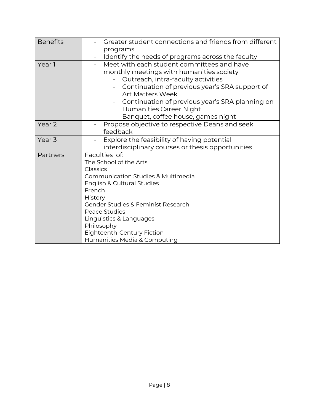| <b>Benefits</b>   | Greater student connections and friends from different                        |
|-------------------|-------------------------------------------------------------------------------|
|                   | programs                                                                      |
|                   | Identify the needs of programs across the faculty<br>$\overline{\phantom{0}}$ |
| Year 1            | Meet with each student committees and have                                    |
|                   | monthly meetings with humanities society                                      |
|                   | Outreach, intra-faculty activities                                            |
|                   | Continuation of previous year's SRA support of                                |
|                   | <b>Art Matters Week</b>                                                       |
|                   | Continuation of previous year's SRA planning on                               |
|                   | Humanities Career Night                                                       |
|                   | Banquet, coffee house, games night                                            |
| Year <sub>2</sub> | Propose objective to respective Deans and seek                                |
|                   | feedback                                                                      |
| Year <sub>3</sub> | Explore the feasibility of having potential                                   |
|                   | interdisciplinary courses or thesis opportunities                             |
| Partners          | Faculties of:                                                                 |
|                   | The School of the Arts                                                        |
|                   | Classics                                                                      |
|                   | <b>Communication Studies &amp; Multimedia</b>                                 |
|                   | English & Cultural Studies                                                    |
|                   | French                                                                        |
|                   | History                                                                       |
|                   | <b>Gender Studies &amp; Feminist Research</b>                                 |
|                   | Peace Studies                                                                 |
|                   | Linguistics & Languages                                                       |
|                   | Philosophy<br>Eighteenth-Century Fiction                                      |
|                   | Humanities Media & Computing                                                  |
|                   |                                                                               |